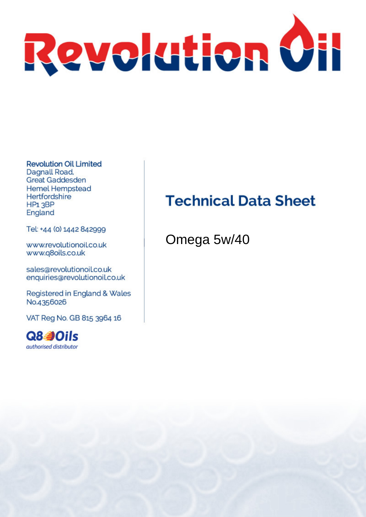

**Revolution Oil Limited** Dagnall Road. **Great Gaddesden Hemel Hempstead** Hertfordshire HP<sub>1</sub>3BP England

Tel: +44 (0) 1442 842999

www.revolutionoil.co.uk www.q8oils.co.uk

sales@revolutionoil.co.uk enquiries@revolutionoil.co.uk

Registered in England & Wales No.4356026

VAT Reg No. GB 815 3964 16



### **Technical Data Sheet**

Omega 5w/40

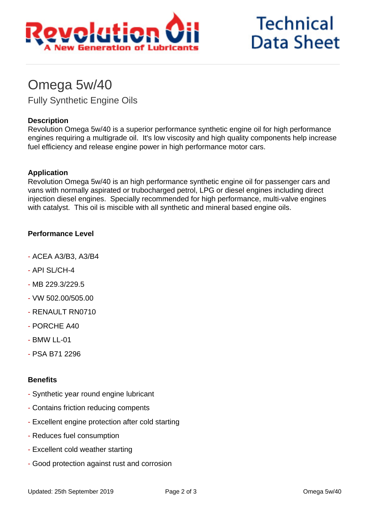

# **Technical Data Sheet**

### Omega 5w/40

Fully Synthetic Engine Oils

#### **Description**

Revolution Omega 5w/40 is a superior performance synthetic engine oil for high performance engines requiring a multigrade oil. It's low viscosity and high quality components help increase fuel efficiency and release engine power in high performance motor cars.

#### **Application**

Revolution Omega 5w/40 is an high performance synthetic engine oil for passenger cars and vans with normally aspirated or trubocharged petrol, LPG or diesel engines including direct injection diesel engines. Specially recommended for high performance, multi-valve engines with catalyst. This oil is miscible with all synthetic and mineral based engine oils.

#### **Performance Level**

- ACEA A3/B3, A3/B4
- API SL/CH-4
- MB 229.3/229.5
- VW 502.00/505.00
- RENAULT RN0710
- PORCHE A40
- $-$  BMW II-01
- PSA B71 2296

#### **Benefits**

- Synthetic year round engine lubricant
- Contains friction reducing compents
- Excellent engine protection after cold starting
- Reduces fuel consumption
- Excellent cold weather starting
- Good protection against rust and corrosion